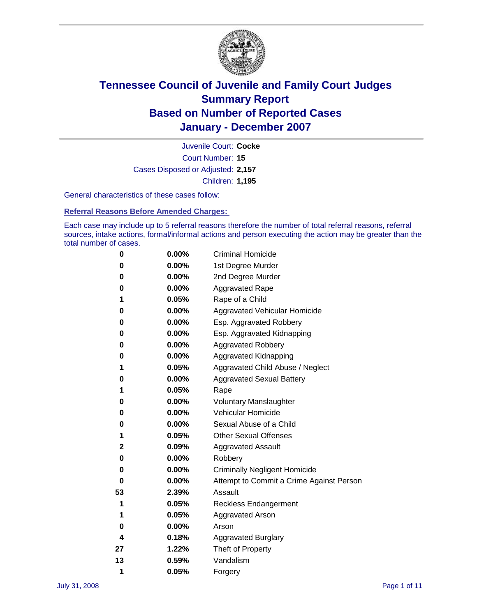

Court Number: **15** Juvenile Court: **Cocke** Cases Disposed or Adjusted: **2,157** Children: **1,195**

General characteristics of these cases follow:

**Referral Reasons Before Amended Charges:** 

Each case may include up to 5 referral reasons therefore the number of total referral reasons, referral sources, intake actions, formal/informal actions and person executing the action may be greater than the total number of cases.

| 0  | 0.00%    | <b>Criminal Homicide</b>                 |
|----|----------|------------------------------------------|
| 0  | 0.00%    | 1st Degree Murder                        |
| 0  | $0.00\%$ | 2nd Degree Murder                        |
| 0  | 0.00%    | <b>Aggravated Rape</b>                   |
| 1  | 0.05%    | Rape of a Child                          |
| 0  | 0.00%    | Aggravated Vehicular Homicide            |
| 0  | 0.00%    | Esp. Aggravated Robbery                  |
| 0  | 0.00%    | Esp. Aggravated Kidnapping               |
| 0  | 0.00%    | <b>Aggravated Robbery</b>                |
| 0  | 0.00%    | Aggravated Kidnapping                    |
| 1  | 0.05%    | Aggravated Child Abuse / Neglect         |
| 0  | $0.00\%$ | <b>Aggravated Sexual Battery</b>         |
| 1  | 0.05%    | Rape                                     |
| 0  | 0.00%    | <b>Voluntary Manslaughter</b>            |
| 0  | 0.00%    | Vehicular Homicide                       |
| 0  | 0.00%    | Sexual Abuse of a Child                  |
| 1  | 0.05%    | <b>Other Sexual Offenses</b>             |
| 2  | 0.09%    | <b>Aggravated Assault</b>                |
| 0  | $0.00\%$ | Robbery                                  |
| 0  | 0.00%    | <b>Criminally Negligent Homicide</b>     |
| 0  | 0.00%    | Attempt to Commit a Crime Against Person |
| 53 | 2.39%    | Assault                                  |
| 1  | 0.05%    | <b>Reckless Endangerment</b>             |
| 1  | 0.05%    | <b>Aggravated Arson</b>                  |
| 0  | 0.00%    | Arson                                    |
| 4  | 0.18%    | <b>Aggravated Burglary</b>               |
| 27 | 1.22%    | Theft of Property                        |
| 13 | 0.59%    | Vandalism                                |
| 1  | 0.05%    | Forgery                                  |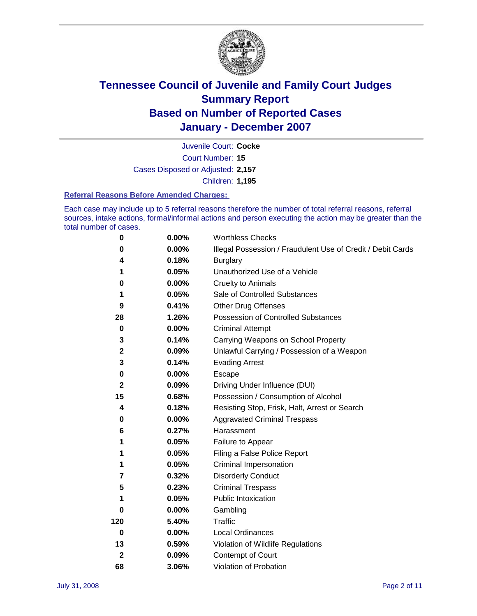

Court Number: **15** Juvenile Court: **Cocke** Cases Disposed or Adjusted: **2,157** Children: **1,195**

#### **Referral Reasons Before Amended Charges:**

Each case may include up to 5 referral reasons therefore the number of total referral reasons, referral sources, intake actions, formal/informal actions and person executing the action may be greater than the total number of cases.

| 0            | 0.00% | <b>Worthless Checks</b>                                     |
|--------------|-------|-------------------------------------------------------------|
| 0            | 0.00% | Illegal Possession / Fraudulent Use of Credit / Debit Cards |
| 4            | 0.18% | <b>Burglary</b>                                             |
| 1            | 0.05% | Unauthorized Use of a Vehicle                               |
| 0            | 0.00% | <b>Cruelty to Animals</b>                                   |
| 1            | 0.05% | Sale of Controlled Substances                               |
| 9            | 0.41% | <b>Other Drug Offenses</b>                                  |
| 28           | 1.26% | <b>Possession of Controlled Substances</b>                  |
| 0            | 0.00% | <b>Criminal Attempt</b>                                     |
| 3            | 0.14% | Carrying Weapons on School Property                         |
| $\mathbf 2$  | 0.09% | Unlawful Carrying / Possession of a Weapon                  |
| 3            | 0.14% | <b>Evading Arrest</b>                                       |
| 0            | 0.00% | Escape                                                      |
| $\mathbf{2}$ | 0.09% | Driving Under Influence (DUI)                               |
| 15           | 0.68% | Possession / Consumption of Alcohol                         |
| 4            | 0.18% | Resisting Stop, Frisk, Halt, Arrest or Search               |
| 0            | 0.00% | <b>Aggravated Criminal Trespass</b>                         |
| 6            | 0.27% | Harassment                                                  |
| 1            | 0.05% | Failure to Appear                                           |
|              | 0.05% | Filing a False Police Report                                |
|              | 0.05% | Criminal Impersonation                                      |
| 7            | 0.32% | <b>Disorderly Conduct</b>                                   |
| 5            | 0.23% | <b>Criminal Trespass</b>                                    |
| 1            | 0.05% | <b>Public Intoxication</b>                                  |
| 0            | 0.00% | Gambling                                                    |
| 120          | 5.40% | Traffic                                                     |
| $\bf{0}$     | 0.00% | <b>Local Ordinances</b>                                     |
| 13           | 0.59% | Violation of Wildlife Regulations                           |
| $\mathbf{2}$ | 0.09% | Contempt of Court                                           |
| 68           | 3.06% | Violation of Probation                                      |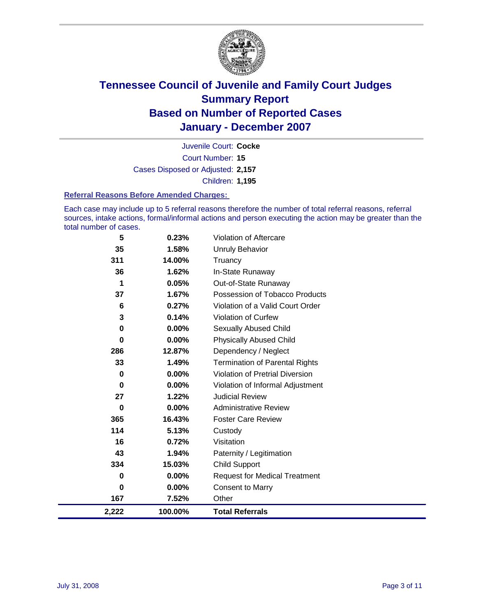

Court Number: **15** Juvenile Court: **Cocke** Cases Disposed or Adjusted: **2,157** Children: **1,195**

#### **Referral Reasons Before Amended Charges:**

Each case may include up to 5 referral reasons therefore the number of total referral reasons, referral sources, intake actions, formal/informal actions and person executing the action may be greater than the total number of cases.

| 5        | 0.23%    | Violation of Aftercare                 |
|----------|----------|----------------------------------------|
| 35       | 1.58%    | Unruly Behavior                        |
| 311      | 14.00%   | Truancy                                |
| 36       | 1.62%    | In-State Runaway                       |
| 1        | 0.05%    | Out-of-State Runaway                   |
| 37       | 1.67%    | Possession of Tobacco Products         |
| 6        | 0.27%    | Violation of a Valid Court Order       |
| 3        | 0.14%    | <b>Violation of Curfew</b>             |
| 0        | 0.00%    | Sexually Abused Child                  |
| 0        | 0.00%    | <b>Physically Abused Child</b>         |
| 286      | 12.87%   | Dependency / Neglect                   |
| 33       | 1.49%    | <b>Termination of Parental Rights</b>  |
| 0        | $0.00\%$ | <b>Violation of Pretrial Diversion</b> |
| 0        | $0.00\%$ | Violation of Informal Adjustment       |
| 27       | 1.22%    | <b>Judicial Review</b>                 |
| $\bf{0}$ | 0.00%    | <b>Administrative Review</b>           |
| 365      | 16.43%   | <b>Foster Care Review</b>              |
| 114      | 5.13%    | Custody                                |
| 16       | 0.72%    | Visitation                             |
| 43       | 1.94%    | Paternity / Legitimation               |
| 334      | 15.03%   | <b>Child Support</b>                   |
| 0        | 0.00%    | <b>Request for Medical Treatment</b>   |
| 0        | 0.00%    | <b>Consent to Marry</b>                |
| 167      | 7.52%    | Other                                  |
| 2,222    | 100.00%  | <b>Total Referrals</b>                 |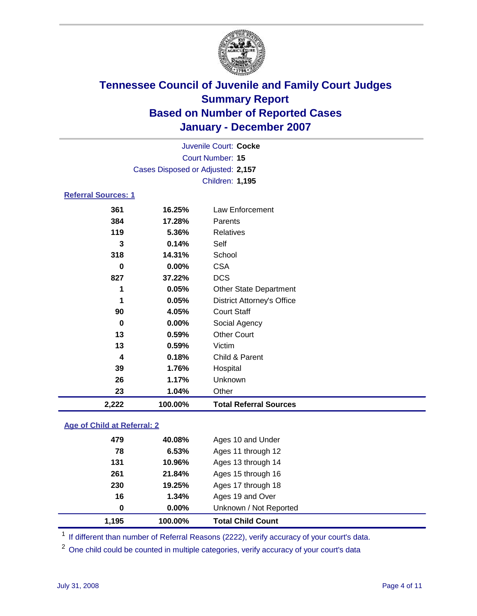

|                            |                                   | Juvenile Court: Cocke             |  |  |
|----------------------------|-----------------------------------|-----------------------------------|--|--|
| <b>Court Number: 15</b>    |                                   |                                   |  |  |
|                            | Cases Disposed or Adjusted: 2,157 |                                   |  |  |
|                            |                                   | Children: 1,195                   |  |  |
| <b>Referral Sources: 1</b> |                                   |                                   |  |  |
| 361                        | 16.25%                            | Law Enforcement                   |  |  |
| 384                        | 17.28%                            | Parents                           |  |  |
| 119                        | 5.36%                             | Relatives                         |  |  |
| 3                          | 0.14%                             | Self                              |  |  |
| 318                        | 14.31%                            | School                            |  |  |
| 0                          | 0.00%                             | <b>CSA</b>                        |  |  |
| 827                        | 37.22%                            | <b>DCS</b>                        |  |  |
| 1                          | 0.05%                             | <b>Other State Department</b>     |  |  |
| 1                          | 0.05%                             | <b>District Attorney's Office</b> |  |  |
| 90                         | 4.05%                             | <b>Court Staff</b>                |  |  |
| 0                          | $0.00\%$                          | Social Agency                     |  |  |
| 13                         | 0.59%                             | <b>Other Court</b>                |  |  |
| 13                         | 0.59%                             | Victim                            |  |  |
| 4                          | 0.18%                             | Child & Parent                    |  |  |
| 39                         | 1.76%                             | Hospital                          |  |  |
| 26                         | 1.17%                             | Unknown                           |  |  |
| 23                         | 1.04%                             | Other                             |  |  |
| 2.222                      | 100.00%                           | <b>Total Referral Sources</b>     |  |  |

#### **Age of Child at Referral: 2**

| 1.195 | 100.00% | <b>Total Child Count</b> |  |
|-------|---------|--------------------------|--|
| 0     | 0.00%   | Unknown / Not Reported   |  |
| 16    | 1.34%   | Ages 19 and Over         |  |
| 230   | 19.25%  | Ages 17 through 18       |  |
| 261   | 21.84%  | Ages 15 through 16       |  |
| 131   | 10.96%  | Ages 13 through 14       |  |
| 78    | 6.53%   | Ages 11 through 12       |  |
| 479   | 40.08%  | Ages 10 and Under        |  |
|       |         |                          |  |

<sup>1</sup> If different than number of Referral Reasons (2222), verify accuracy of your court's data.

One child could be counted in multiple categories, verify accuracy of your court's data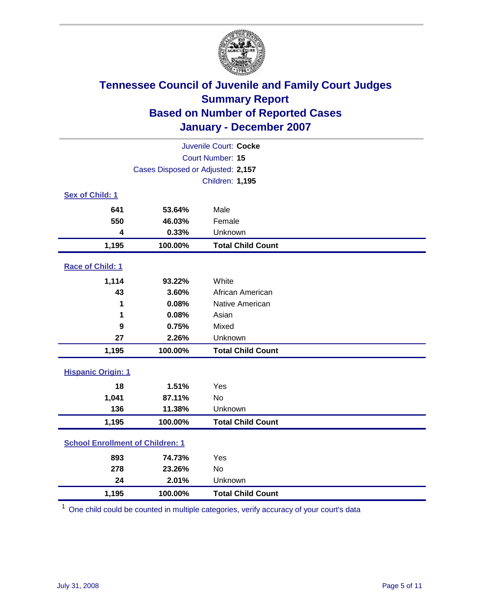

| Juvenile Court: Cocke                   |                                   |                          |  |  |
|-----------------------------------------|-----------------------------------|--------------------------|--|--|
|                                         | Court Number: 15                  |                          |  |  |
|                                         | Cases Disposed or Adjusted: 2,157 |                          |  |  |
|                                         |                                   | Children: 1,195          |  |  |
| Sex of Child: 1                         |                                   |                          |  |  |
| 641                                     | 53.64%                            | Male                     |  |  |
| 550                                     | 46.03%                            | Female                   |  |  |
| 4                                       | 0.33%                             | Unknown                  |  |  |
| 1,195                                   | 100.00%                           | <b>Total Child Count</b> |  |  |
| Race of Child: 1                        |                                   |                          |  |  |
| 1,114                                   | 93.22%                            | White                    |  |  |
| 43                                      | 3.60%                             | African American         |  |  |
| 1                                       | 0.08%                             | Native American          |  |  |
| 1                                       | 0.08%                             | Asian                    |  |  |
| 9                                       | 0.75%                             | Mixed                    |  |  |
| 27                                      | 2.26%                             | Unknown                  |  |  |
| 1,195                                   | 100.00%                           | <b>Total Child Count</b> |  |  |
| <b>Hispanic Origin: 1</b>               |                                   |                          |  |  |
| 18                                      | 1.51%                             | Yes                      |  |  |
| 1,041                                   | 87.11%                            | No                       |  |  |
| 136                                     | 11.38%                            | Unknown                  |  |  |
| 1,195                                   | 100.00%                           | <b>Total Child Count</b> |  |  |
| <b>School Enrollment of Children: 1</b> |                                   |                          |  |  |
| 893                                     | 74.73%                            | Yes                      |  |  |
| 278                                     | 23.26%                            | No                       |  |  |
| 24                                      | 2.01%                             | Unknown                  |  |  |
| 1,195                                   | 100.00%                           | <b>Total Child Count</b> |  |  |

<sup>1</sup> One child could be counted in multiple categories, verify accuracy of your court's data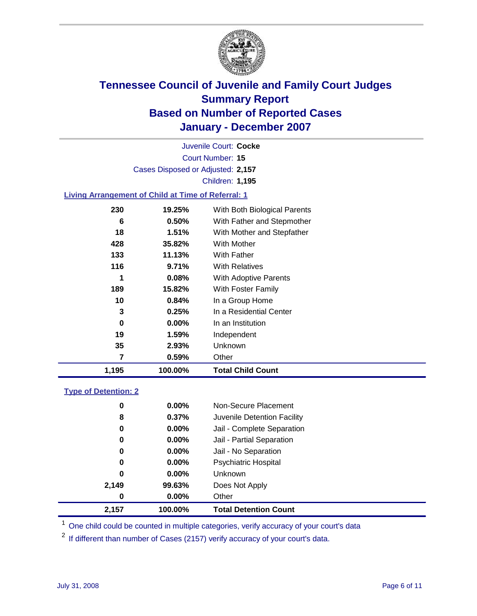

Court Number: **15** Juvenile Court: **Cocke** Cases Disposed or Adjusted: **2,157** Children: **1,195**

### **Living Arrangement of Child at Time of Referral: 1**

| 1,195 | 100.00%  | <b>Total Child Count</b>     |
|-------|----------|------------------------------|
| 7     | 0.59%    | Other                        |
| 35    | 2.93%    | <b>Unknown</b>               |
| 19    | 1.59%    | Independent                  |
| 0     | $0.00\%$ | In an Institution            |
| 3     | 0.25%    | In a Residential Center      |
| 10    | 0.84%    | In a Group Home              |
| 189   | 15.82%   | With Foster Family           |
| 1     | 0.08%    | With Adoptive Parents        |
| 116   | 9.71%    | <b>With Relatives</b>        |
| 133   | 11.13%   | With Father                  |
| 428   | 35.82%   | With Mother                  |
| 18    | 1.51%    | With Mother and Stepfather   |
| 6     | 0.50%    | With Father and Stepmother   |
| 230   | 19.25%   | With Both Biological Parents |

#### **Type of Detention: 2**

| 2,157 | 100.00% | <b>Total Detention Count</b> |  |
|-------|---------|------------------------------|--|
| 0     | 0.00%   | Other                        |  |
| 2,149 | 99.63%  | Does Not Apply               |  |
| 0     | 0.00%   | <b>Unknown</b>               |  |
| 0     | 0.00%   | <b>Psychiatric Hospital</b>  |  |
| 0     | 0.00%   | Jail - No Separation         |  |
| 0     | 0.00%   | Jail - Partial Separation    |  |
| 0     | 0.00%   | Jail - Complete Separation   |  |
| 8     | 0.37%   | Juvenile Detention Facility  |  |
| 0     | 0.00%   | Non-Secure Placement         |  |
|       |         |                              |  |

<sup>1</sup> One child could be counted in multiple categories, verify accuracy of your court's data

<sup>2</sup> If different than number of Cases (2157) verify accuracy of your court's data.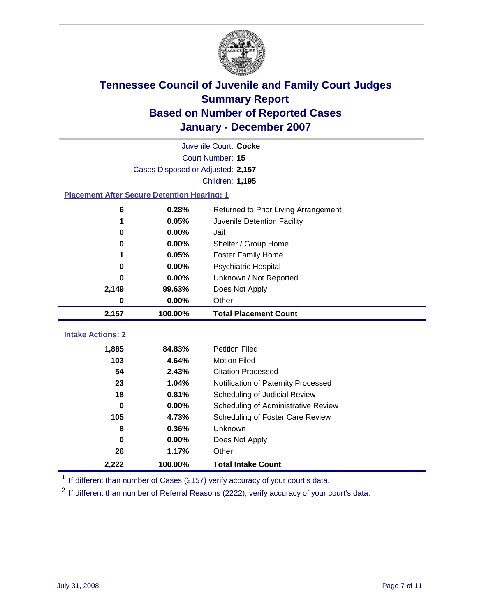

|                                                    | Juvenile Court: Cocke             |                                      |  |  |
|----------------------------------------------------|-----------------------------------|--------------------------------------|--|--|
|                                                    | Court Number: 15                  |                                      |  |  |
|                                                    | Cases Disposed or Adjusted: 2,157 |                                      |  |  |
|                                                    |                                   | Children: 1,195                      |  |  |
| <b>Placement After Secure Detention Hearing: 1</b> |                                   |                                      |  |  |
| 6                                                  | 0.28%                             | Returned to Prior Living Arrangement |  |  |
| 1                                                  | 0.05%                             | Juvenile Detention Facility          |  |  |
| $\bf{0}$                                           | 0.00%                             | Jail                                 |  |  |
| $\bf{0}$                                           | 0.00%                             | Shelter / Group Home                 |  |  |
| 1                                                  | 0.05%                             | <b>Foster Family Home</b>            |  |  |
| 0                                                  | 0.00%                             | Psychiatric Hospital                 |  |  |
| U                                                  | 0.00%                             | Unknown / Not Reported               |  |  |
| 2,149                                              | 99.63%                            | Does Not Apply                       |  |  |
| 0                                                  | 0.00%                             | Other                                |  |  |
| 2,157                                              | 100.00%                           | <b>Total Placement Count</b>         |  |  |
|                                                    |                                   |                                      |  |  |
| <b>Intake Actions: 2</b>                           |                                   |                                      |  |  |
| 1,885                                              | 84.83%                            | <b>Petition Filed</b>                |  |  |
| 103                                                | 4.64%                             | <b>Motion Filed</b>                  |  |  |
| 54                                                 | 2.43%                             | <b>Citation Processed</b>            |  |  |
| 23                                                 | 1.04%                             | Notification of Paternity Processed  |  |  |
| 18                                                 | 0.81%                             | Scheduling of Judicial Review        |  |  |
| $\bf{0}$                                           | 0.00%                             | Scheduling of Administrative Review  |  |  |
| 105                                                | 4.73%                             | Scheduling of Foster Care Review     |  |  |
| 8                                                  | 0.36%                             | Unknown                              |  |  |
| $\bf{0}$                                           | 0.00%                             | Does Not Apply                       |  |  |
| 26                                                 | 1.17%                             | Other                                |  |  |
| 2,222                                              | 100.00%                           | <b>Total Intake Count</b>            |  |  |

<sup>1</sup> If different than number of Cases (2157) verify accuracy of your court's data.

<sup>2</sup> If different than number of Referral Reasons (2222), verify accuracy of your court's data.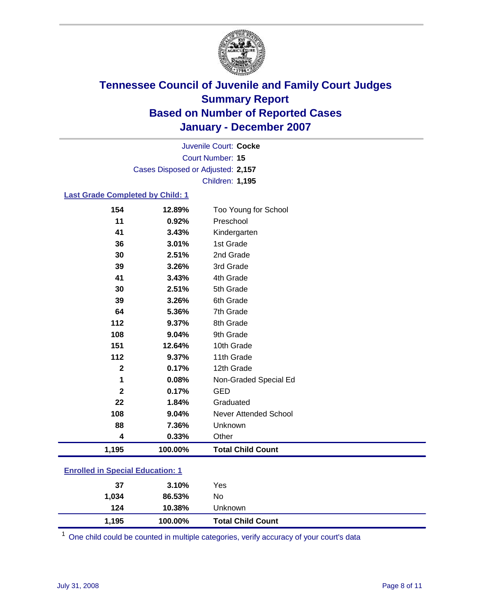

Court Number: **15** Juvenile Court: **Cocke** Cases Disposed or Adjusted: **2,157** Children: **1,195**

#### **Last Grade Completed by Child: 1**

| 154          | 12.89%  | Too Young for School     |
|--------------|---------|--------------------------|
| 11           | 0.92%   | Preschool                |
| 41           | 3.43%   | Kindergarten             |
| 36           | 3.01%   | 1st Grade                |
| 30           | 2.51%   | 2nd Grade                |
| 39           | 3.26%   | 3rd Grade                |
| 41           | 3.43%   | 4th Grade                |
| 30           | 2.51%   | 5th Grade                |
| 39           | 3.26%   | 6th Grade                |
| 64           | 5.36%   | 7th Grade                |
| 112          | 9.37%   | 8th Grade                |
| 108          | 9.04%   | 9th Grade                |
| 151          | 12.64%  | 10th Grade               |
| 112          | 9.37%   | 11th Grade               |
| $\mathbf{2}$ | 0.17%   | 12th Grade               |
| 1            | 0.08%   | Non-Graded Special Ed    |
| $\mathbf{2}$ | 0.17%   | <b>GED</b>               |
| 22           | 1.84%   | Graduated                |
| 108          | 9.04%   | Never Attended School    |
| 88           | 7.36%   | Unknown                  |
| 4            | 0.33%   | Other                    |
| 1,195        | 100.00% | <b>Total Child Count</b> |
|              |         |                          |

### **Enrolled in Special Education: 1**

| 37           | 3.10%<br>86.53% | Yes<br>No                |
|--------------|-----------------|--------------------------|
| 1,034<br>124 | 10.38%          | Unknown                  |
| 1,195        | 100.00%         | <b>Total Child Count</b> |

<sup>1</sup> One child could be counted in multiple categories, verify accuracy of your court's data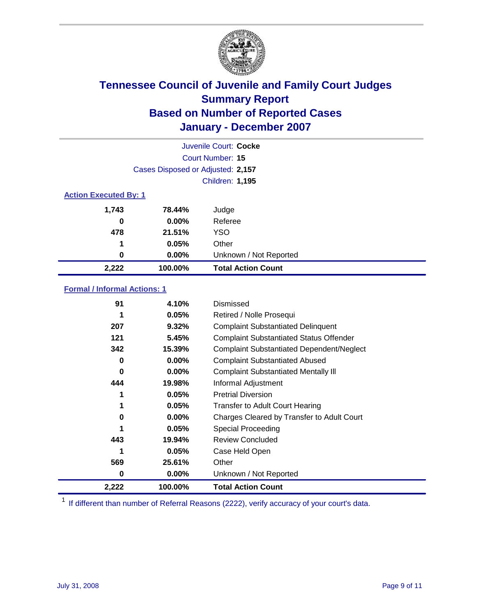

|                              | Juvenile Court: Cocke             |                           |  |  |
|------------------------------|-----------------------------------|---------------------------|--|--|
|                              | Court Number: 15                  |                           |  |  |
|                              | Cases Disposed or Adjusted: 2,157 |                           |  |  |
|                              |                                   | <b>Children: 1,195</b>    |  |  |
| <b>Action Executed By: 1</b> |                                   |                           |  |  |
| 1,743                        | 78.44%                            | Judge                     |  |  |
| 0                            | $0.00\%$                          | Referee                   |  |  |
| 478                          | 21.51%                            | <b>YSO</b>                |  |  |
| 1                            | 0.05%                             | Other                     |  |  |
| 0                            | $0.00\%$                          | Unknown / Not Reported    |  |  |
| 2,222                        | 100.00%                           | <b>Total Action Count</b> |  |  |

### **Formal / Informal Actions: 1**

| 91    | 4.10%    | Dismissed                                        |
|-------|----------|--------------------------------------------------|
| 1     | 0.05%    | Retired / Nolle Prosequi                         |
| 207   | 9.32%    | <b>Complaint Substantiated Delinquent</b>        |
| 121   | 5.45%    | <b>Complaint Substantiated Status Offender</b>   |
| 342   | 15.39%   | <b>Complaint Substantiated Dependent/Neglect</b> |
| 0     | $0.00\%$ | <b>Complaint Substantiated Abused</b>            |
| 0     | 0.00%    | <b>Complaint Substantiated Mentally III</b>      |
| 444   | 19.98%   | Informal Adjustment                              |
| 1     | 0.05%    | <b>Pretrial Diversion</b>                        |
| 1     | 0.05%    | <b>Transfer to Adult Court Hearing</b>           |
| 0     | $0.00\%$ | Charges Cleared by Transfer to Adult Court       |
| 1     | 0.05%    | Special Proceeding                               |
| 443   | 19.94%   | <b>Review Concluded</b>                          |
|       | 0.05%    | Case Held Open                                   |
| 569   | 25.61%   | Other                                            |
| 0     | 0.00%    | Unknown / Not Reported                           |
| 2,222 | 100.00%  | <b>Total Action Count</b>                        |

<sup>1</sup> If different than number of Referral Reasons (2222), verify accuracy of your court's data.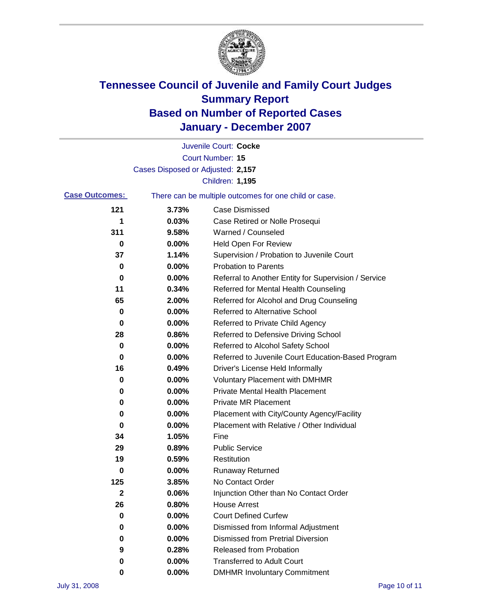

|                       |                                   | Juvenile Court: Cocke                                 |
|-----------------------|-----------------------------------|-------------------------------------------------------|
|                       |                                   | <b>Court Number: 15</b>                               |
|                       | Cases Disposed or Adjusted: 2,157 |                                                       |
|                       |                                   | Children: 1,195                                       |
| <b>Case Outcomes:</b> |                                   | There can be multiple outcomes for one child or case. |
| 121                   | 3.73%                             | <b>Case Dismissed</b>                                 |
| 1                     | 0.03%                             | Case Retired or Nolle Prosequi                        |
| 311                   | 9.58%                             | Warned / Counseled                                    |
| 0                     | 0.00%                             | Held Open For Review                                  |
| 37                    | 1.14%                             | Supervision / Probation to Juvenile Court             |
| 0                     | 0.00%                             | <b>Probation to Parents</b>                           |
| 0                     | 0.00%                             | Referral to Another Entity for Supervision / Service  |
| 11                    | 0.34%                             | Referred for Mental Health Counseling                 |
| 65                    | 2.00%                             | Referred for Alcohol and Drug Counseling              |
| 0                     | 0.00%                             | <b>Referred to Alternative School</b>                 |
| 0                     | 0.00%                             | Referred to Private Child Agency                      |
| 28                    | 0.86%                             | Referred to Defensive Driving School                  |
| 0                     | 0.00%                             | Referred to Alcohol Safety School                     |
| 0                     | 0.00%                             | Referred to Juvenile Court Education-Based Program    |
| 16                    | 0.49%                             | Driver's License Held Informally                      |
| 0                     | 0.00%                             | <b>Voluntary Placement with DMHMR</b>                 |
| 0                     | 0.00%                             | <b>Private Mental Health Placement</b>                |
| 0                     | 0.00%                             | <b>Private MR Placement</b>                           |
| 0                     | 0.00%                             | Placement with City/County Agency/Facility            |
| 0                     | 0.00%                             | Placement with Relative / Other Individual            |
| 34                    | 1.05%                             | Fine                                                  |
| 29                    | 0.89%                             | <b>Public Service</b>                                 |
| 19                    | 0.59%                             | Restitution                                           |
| 0                     | 0.00%                             | <b>Runaway Returned</b>                               |
| 125                   | 3.85%                             | No Contact Order                                      |
| 2                     | 0.06%                             | Injunction Other than No Contact Order                |
| 26                    | 0.80%                             | <b>House Arrest</b>                                   |
| 0                     | 0.00%                             | <b>Court Defined Curfew</b>                           |
| 0                     | 0.00%                             | Dismissed from Informal Adjustment                    |
| 0                     | 0.00%                             | <b>Dismissed from Pretrial Diversion</b>              |
| 9                     | 0.28%                             | Released from Probation                               |
| 0                     | 0.00%                             | <b>Transferred to Adult Court</b>                     |
| 0                     | 0.00%                             | <b>DMHMR Involuntary Commitment</b>                   |